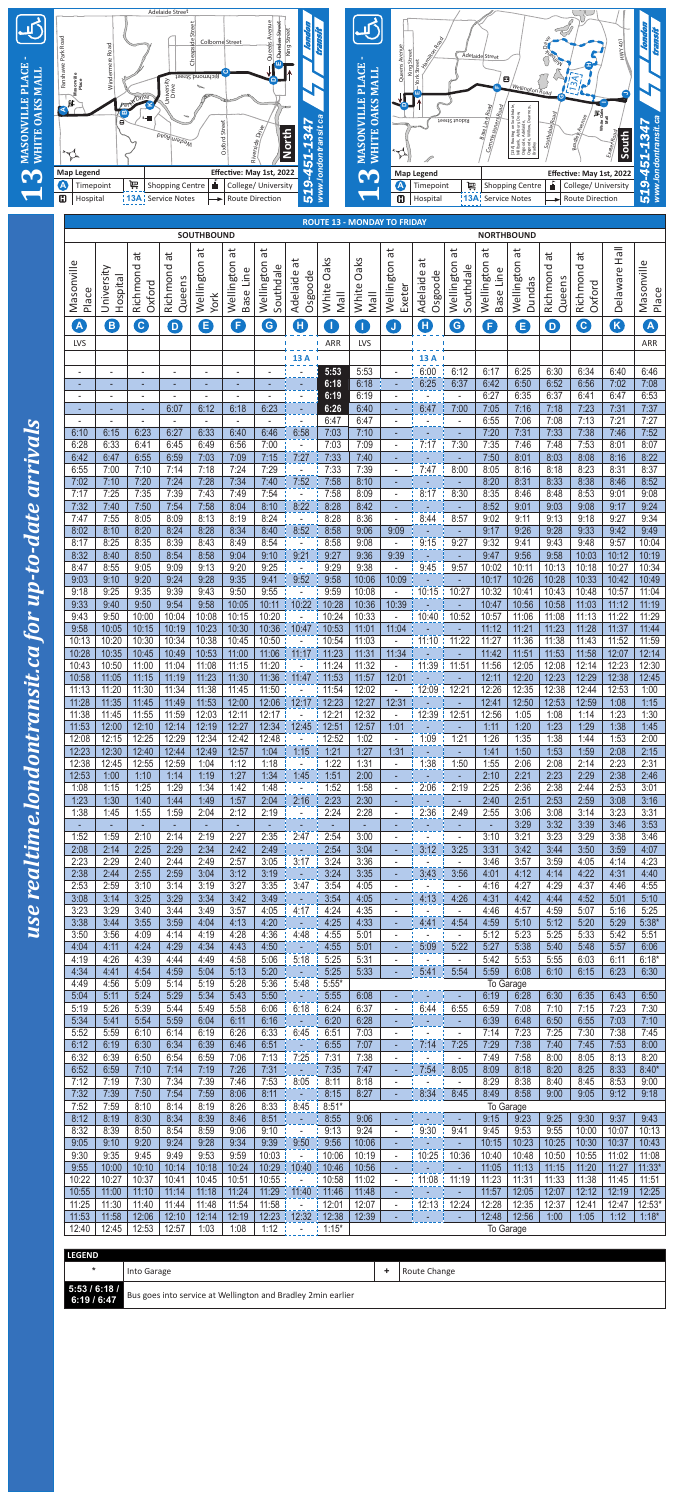

| <b>II</b><br>BH<br>đ<br>đ<br>$\vec{a}$<br>đ<br>άť<br>ЪÉ<br>$\vec{a}$<br>ä<br>ä<br>đ<br>$\vec{a}$<br>Oaks<br>Oaks<br>ä<br>đ<br>Wellington<br>Wellington<br>Wellington<br>Wellington<br>Wellington<br>Wellington<br>Masonville<br>Masonville<br>Wellington<br>Richmond<br>Richmond<br>Southdale<br>Southdale<br>Richmond<br>Richmond<br>University<br>Delaware<br>Base Line<br>Base Line<br>Adelaide<br>Osgoode<br>Φ<br>Osgoode<br>Hospital<br>Queens<br>Queens<br>Dundas<br>Adelaid<br>Oxford<br>Oxford<br>Exeter<br>White<br>White<br>Place<br><b>Mall</b><br><b>Nall</b><br><b>York</b><br>$\overline{\mathbf{A}}$<br>A<br>8<br>G<br>8<br>$\mathbf{c}$<br>$\bullet$<br>K<br>Ð<br>$\mathbf 0$<br>$\bigodot$<br>8<br>$\bullet$<br>$\mathbf{I}$<br>$\blacksquare$<br>8<br>$\mathsf J$<br>$\overline{D}$<br>T<br>LVS<br>ARR<br>LVS<br>13A<br>13 A<br>5:53<br>6:00<br>6:12<br>6:17<br>6:25<br>6:30<br>6:34<br>6:40<br>5:53<br>$\overline{\phantom{a}}$<br>$\overline{\phantom{a}}$<br>٠<br>$\overline{a}$<br>٠<br>$\blacksquare$<br>$\overline{\phantom{a}}$<br>$\overline{\phantom{a}}$<br>6:52<br>6:25<br>6:42<br>6:50<br>6:56<br>7:02<br>7:08<br>6:18<br>6:18<br>6:37<br>٠<br>٠<br>٠<br>٠<br>٠<br>٠<br>٠<br>6:27<br>6:35<br>6:37<br>6:53<br>6:19<br>6:19<br>6:41<br>6:47<br>$\blacksquare$<br>$\overline{a}$<br>$\overline{a}$<br>$\overline{\phantom{a}}$<br>$\overline{a}$<br>7:16<br>7:18<br>7:23<br>7:31<br>6:07<br>6:12<br>6:18<br>6:23<br>6:40<br>6:47<br>7:00<br>7:05<br>6:26<br>٠<br>٠<br>٠<br>6:47<br>6:55<br>7:13<br>7:06<br>7:08<br>7:21<br>6:47<br>$\blacksquare$<br>$\overline{a}$<br>$\blacksquare$<br>$\overline{a}$<br>$\blacksquare$<br>$\blacksquare$<br>$\qquad \qquad \blacksquare$<br>$\overline{\phantom{a}}$<br>$\blacksquare$<br>7:10<br>7:52<br>6:33<br>7:20<br>7:31<br>7:33<br>7:38<br>7:46<br>6:23<br>6:27<br>6:40<br>6:46<br>6:58<br>7:03<br>6:10<br>6:15<br>٠<br>7:09<br>7:35<br>7:46<br>7:48<br>7:53<br>6:33<br>6:41<br>6:45<br>6:49<br>6:56<br>7:00<br>7:03<br>8:01<br>8:07<br>6:28<br>7:17<br>7:30<br>$\blacksquare$<br>7:27<br>7:50<br>8:03<br>8:08<br>8:16<br>6:42<br>6:47<br>6:55<br>6:59<br>7:03<br>7:09<br>7:15<br>7:33<br>7:40<br>8:01<br>7:18<br>7:24<br>7:29<br>7:39<br>7:47<br>8:05<br>8:16<br>8:18<br>8:23<br>8:31<br>7:10<br>7:14<br>7:33<br>8:00<br>6:55<br>7:00<br>7:28<br>7:40<br>7:58<br>8:10<br>8:20<br>8:31<br>8:33<br>8:38<br>7:10<br>7:20<br>7:24<br>7:34<br>7:52<br>8:46<br>7:02<br>7:25<br>7:35<br>7:39<br>7:43<br>7:49<br>7:54<br>7:58<br>8:17<br>8:35<br>8:46<br>8:48<br>8:53<br>9:08<br>7:17<br>8:09<br>8:30<br>9:01<br>$\overline{a}$<br>8:22<br>8:52<br>7:32<br>7:40<br>7:50<br>7:54<br>7:58<br>8:04<br>8:10<br>8:28<br>8:42<br>9:01<br>9:03<br>9:08<br>9:17<br>$\blacksquare$<br>÷,<br>٠<br>8:09<br>8:13<br>8:24<br>8:36<br>9:02<br>7:47<br>7:55<br>8:05<br>8:19<br>8:28<br>8:44<br>8:57<br>9:11<br>9:13<br>9:18<br>9:27<br>$\bar{\phantom{a}}$<br>8:40<br>8:52<br>9:17<br>9:26<br>9:28<br>9:33<br>9:42<br>9:49<br>8:02<br>8:10<br>8:20<br>8:24<br>8:28<br>8:34<br>8:58<br>9:06<br>9:09<br>9:32<br>8:25<br>8:35<br>8:39<br>8:54<br>8:58<br>9:43<br>9:48<br>10:04<br>8:43<br>8:49<br>9:08<br>9:15<br>9:27<br>9:41<br>9:57<br>8:17<br>$\blacksquare$<br>9:21<br>9:27<br>9:36<br>9:39<br>9:47<br>9:56<br>9:58<br>10:03<br>8:32<br>8:50<br>8:54<br>8:58<br>9:04<br>9:10<br>10:12<br>8:40<br>٠<br>10:13<br>10:18<br>8:55<br>9:05<br>9:09<br>9:13<br>9:20<br>9:25<br>9:38<br>9:45<br>10:02<br>10:11<br>10:27<br>8:47<br>9:29<br>9:57<br>$\blacksquare$<br>$\overline{\phantom{a}}$<br>10:26<br>10:28<br>10:33<br>9:03<br>9:20<br>9:24<br>9:28<br>9:35<br>9:41<br>9:52<br>9:58<br>10:06<br>10:09<br>10:17<br>10:42<br>9:10<br>10:15<br>10:43<br>11:04<br>9:25<br>9:35<br>9:39<br>9:43<br>9:50<br>9:55<br>9:59<br>10:08<br>10:27<br>10:32<br>10:41<br>10:48<br>10:57<br>9:18<br>10:22<br>9:33<br>9:50<br>9:54<br>10:36<br>10:39<br>10:56<br>10:58<br>11:03<br>9:40<br>9:58<br>10:05<br>10:11<br>10:28<br>10:47<br>11:12<br>11:22<br>9:43<br>9:50<br>10:00<br>10:04<br>10:08<br>10:20<br>10:24<br>10:33<br>10:40<br>10:52<br>10:57<br>11:06<br>11:08<br>11:13<br>10:15<br>$\overline{\phantom{a}}$<br>10:23<br>10:30<br>10:36<br>11:12<br>11:21<br>11:23<br>11:28<br>11:37<br>9:58<br>10:05<br>10:15<br>10:19<br>10:47<br>10:53<br>11:01<br>11:04<br>$\blacksquare$ | <b>SOUTHBOUND</b> |       |       |       |       |       |       | <b>NORTHBOUND</b> |       |  |       |       |       |       |       |       |       |                   |
|----------------------------------------------------------------------------------------------------------------------------------------------------------------------------------------------------------------------------------------------------------------------------------------------------------------------------------------------------------------------------------------------------------------------------------------------------------------------------------------------------------------------------------------------------------------------------------------------------------------------------------------------------------------------------------------------------------------------------------------------------------------------------------------------------------------------------------------------------------------------------------------------------------------------------------------------------------------------------------------------------------------------------------------------------------------------------------------------------------------------------------------------------------------------------------------------------------------------------------------------------------------------------------------------------------------------------------------------------------------------------------------------------------------------------------------------------------------------------------------------------------------------------------------------------------------------------------------------------------------------------------------------------------------------------------------------------------------------------------------------------------------------------------------------------------------------------------------------------------------------------------------------------------------------------------------------------------------------------------------------------------------------------------------------------------------------------------------------------------------------------------------------------------------------------------------------------------------------------------------------------------------------------------------------------------------------------------------------------------------------------------------------------------------------------------------------------------------------------------------------------------------------------------------------------------------------------------------------------------------------------------------------------------------------------------------------------------------------------------------------------------------------------------------------------------------------------------------------------------------------------------------------------------------------------------------------------------------------------------------------------------------------------------------------------------------------------------------------------------------------------------------------------------------------------------------------------------------------------------------------------------------------------------------------------------------------------------------------------------------------------------------------------------------------------------------------------------------------------------------------------------------------------------------------------------------------------------------------------------------------------------------------------------------------------------------------------------------------------------------------------------------------------------------------------------------------------------------------------------------------------------------------------------------------------------------------------------------------------------------------------------------------------------------------------------------------------------------------------------------------------------------------------------------------------------------------------------------------------------------------------------------------------------------------------------------------|-------------------|-------|-------|-------|-------|-------|-------|-------------------|-------|--|-------|-------|-------|-------|-------|-------|-------|-------------------|
|                                                                                                                                                                                                                                                                                                                                                                                                                                                                                                                                                                                                                                                                                                                                                                                                                                                                                                                                                                                                                                                                                                                                                                                                                                                                                                                                                                                                                                                                                                                                                                                                                                                                                                                                                                                                                                                                                                                                                                                                                                                                                                                                                                                                                                                                                                                                                                                                                                                                                                                                                                                                                                                                                                                                                                                                                                                                                                                                                                                                                                                                                                                                                                                                                                                                                                                                                                                                                                                                                                                                                                                                                                                                                                                                                                                                                                                                                                                                                                                                                                                                                                                                                                                                                                                                                                                      |                   |       |       |       |       |       |       |                   |       |  |       |       |       |       |       |       |       | Place             |
|                                                                                                                                                                                                                                                                                                                                                                                                                                                                                                                                                                                                                                                                                                                                                                                                                                                                                                                                                                                                                                                                                                                                                                                                                                                                                                                                                                                                                                                                                                                                                                                                                                                                                                                                                                                                                                                                                                                                                                                                                                                                                                                                                                                                                                                                                                                                                                                                                                                                                                                                                                                                                                                                                                                                                                                                                                                                                                                                                                                                                                                                                                                                                                                                                                                                                                                                                                                                                                                                                                                                                                                                                                                                                                                                                                                                                                                                                                                                                                                                                                                                                                                                                                                                                                                                                                                      |                   |       |       |       |       |       |       |                   |       |  |       |       |       |       |       |       |       |                   |
|                                                                                                                                                                                                                                                                                                                                                                                                                                                                                                                                                                                                                                                                                                                                                                                                                                                                                                                                                                                                                                                                                                                                                                                                                                                                                                                                                                                                                                                                                                                                                                                                                                                                                                                                                                                                                                                                                                                                                                                                                                                                                                                                                                                                                                                                                                                                                                                                                                                                                                                                                                                                                                                                                                                                                                                                                                                                                                                                                                                                                                                                                                                                                                                                                                                                                                                                                                                                                                                                                                                                                                                                                                                                                                                                                                                                                                                                                                                                                                                                                                                                                                                                                                                                                                                                                                                      |                   |       |       |       |       |       |       |                   |       |  |       |       |       |       |       |       |       | ARR               |
|                                                                                                                                                                                                                                                                                                                                                                                                                                                                                                                                                                                                                                                                                                                                                                                                                                                                                                                                                                                                                                                                                                                                                                                                                                                                                                                                                                                                                                                                                                                                                                                                                                                                                                                                                                                                                                                                                                                                                                                                                                                                                                                                                                                                                                                                                                                                                                                                                                                                                                                                                                                                                                                                                                                                                                                                                                                                                                                                                                                                                                                                                                                                                                                                                                                                                                                                                                                                                                                                                                                                                                                                                                                                                                                                                                                                                                                                                                                                                                                                                                                                                                                                                                                                                                                                                                                      |                   |       |       |       |       |       |       |                   |       |  |       |       |       |       |       |       |       |                   |
|                                                                                                                                                                                                                                                                                                                                                                                                                                                                                                                                                                                                                                                                                                                                                                                                                                                                                                                                                                                                                                                                                                                                                                                                                                                                                                                                                                                                                                                                                                                                                                                                                                                                                                                                                                                                                                                                                                                                                                                                                                                                                                                                                                                                                                                                                                                                                                                                                                                                                                                                                                                                                                                                                                                                                                                                                                                                                                                                                                                                                                                                                                                                                                                                                                                                                                                                                                                                                                                                                                                                                                                                                                                                                                                                                                                                                                                                                                                                                                                                                                                                                                                                                                                                                                                                                                                      |                   |       |       |       |       |       |       |                   |       |  |       |       |       |       |       |       |       | 6:46              |
|                                                                                                                                                                                                                                                                                                                                                                                                                                                                                                                                                                                                                                                                                                                                                                                                                                                                                                                                                                                                                                                                                                                                                                                                                                                                                                                                                                                                                                                                                                                                                                                                                                                                                                                                                                                                                                                                                                                                                                                                                                                                                                                                                                                                                                                                                                                                                                                                                                                                                                                                                                                                                                                                                                                                                                                                                                                                                                                                                                                                                                                                                                                                                                                                                                                                                                                                                                                                                                                                                                                                                                                                                                                                                                                                                                                                                                                                                                                                                                                                                                                                                                                                                                                                                                                                                                                      |                   |       |       |       |       |       |       |                   |       |  |       |       |       |       |       |       |       |                   |
|                                                                                                                                                                                                                                                                                                                                                                                                                                                                                                                                                                                                                                                                                                                                                                                                                                                                                                                                                                                                                                                                                                                                                                                                                                                                                                                                                                                                                                                                                                                                                                                                                                                                                                                                                                                                                                                                                                                                                                                                                                                                                                                                                                                                                                                                                                                                                                                                                                                                                                                                                                                                                                                                                                                                                                                                                                                                                                                                                                                                                                                                                                                                                                                                                                                                                                                                                                                                                                                                                                                                                                                                                                                                                                                                                                                                                                                                                                                                                                                                                                                                                                                                                                                                                                                                                                                      |                   |       |       |       |       |       |       |                   |       |  |       |       |       |       |       |       |       | 7:37              |
|                                                                                                                                                                                                                                                                                                                                                                                                                                                                                                                                                                                                                                                                                                                                                                                                                                                                                                                                                                                                                                                                                                                                                                                                                                                                                                                                                                                                                                                                                                                                                                                                                                                                                                                                                                                                                                                                                                                                                                                                                                                                                                                                                                                                                                                                                                                                                                                                                                                                                                                                                                                                                                                                                                                                                                                                                                                                                                                                                                                                                                                                                                                                                                                                                                                                                                                                                                                                                                                                                                                                                                                                                                                                                                                                                                                                                                                                                                                                                                                                                                                                                                                                                                                                                                                                                                                      |                   |       |       |       |       |       |       |                   |       |  |       |       |       |       |       |       |       | 7:27              |
|                                                                                                                                                                                                                                                                                                                                                                                                                                                                                                                                                                                                                                                                                                                                                                                                                                                                                                                                                                                                                                                                                                                                                                                                                                                                                                                                                                                                                                                                                                                                                                                                                                                                                                                                                                                                                                                                                                                                                                                                                                                                                                                                                                                                                                                                                                                                                                                                                                                                                                                                                                                                                                                                                                                                                                                                                                                                                                                                                                                                                                                                                                                                                                                                                                                                                                                                                                                                                                                                                                                                                                                                                                                                                                                                                                                                                                                                                                                                                                                                                                                                                                                                                                                                                                                                                                                      |                   |       |       |       |       |       |       |                   |       |  |       |       |       |       |       |       |       |                   |
|                                                                                                                                                                                                                                                                                                                                                                                                                                                                                                                                                                                                                                                                                                                                                                                                                                                                                                                                                                                                                                                                                                                                                                                                                                                                                                                                                                                                                                                                                                                                                                                                                                                                                                                                                                                                                                                                                                                                                                                                                                                                                                                                                                                                                                                                                                                                                                                                                                                                                                                                                                                                                                                                                                                                                                                                                                                                                                                                                                                                                                                                                                                                                                                                                                                                                                                                                                                                                                                                                                                                                                                                                                                                                                                                                                                                                                                                                                                                                                                                                                                                                                                                                                                                                                                                                                                      |                   |       |       |       |       |       |       |                   |       |  |       |       |       |       |       |       |       | 8:22              |
|                                                                                                                                                                                                                                                                                                                                                                                                                                                                                                                                                                                                                                                                                                                                                                                                                                                                                                                                                                                                                                                                                                                                                                                                                                                                                                                                                                                                                                                                                                                                                                                                                                                                                                                                                                                                                                                                                                                                                                                                                                                                                                                                                                                                                                                                                                                                                                                                                                                                                                                                                                                                                                                                                                                                                                                                                                                                                                                                                                                                                                                                                                                                                                                                                                                                                                                                                                                                                                                                                                                                                                                                                                                                                                                                                                                                                                                                                                                                                                                                                                                                                                                                                                                                                                                                                                                      |                   |       |       |       |       |       |       |                   |       |  |       |       |       |       |       |       |       | 8:37              |
|                                                                                                                                                                                                                                                                                                                                                                                                                                                                                                                                                                                                                                                                                                                                                                                                                                                                                                                                                                                                                                                                                                                                                                                                                                                                                                                                                                                                                                                                                                                                                                                                                                                                                                                                                                                                                                                                                                                                                                                                                                                                                                                                                                                                                                                                                                                                                                                                                                                                                                                                                                                                                                                                                                                                                                                                                                                                                                                                                                                                                                                                                                                                                                                                                                                                                                                                                                                                                                                                                                                                                                                                                                                                                                                                                                                                                                                                                                                                                                                                                                                                                                                                                                                                                                                                                                                      |                   |       |       |       |       |       |       |                   |       |  |       |       |       |       |       |       |       | 8:52              |
|                                                                                                                                                                                                                                                                                                                                                                                                                                                                                                                                                                                                                                                                                                                                                                                                                                                                                                                                                                                                                                                                                                                                                                                                                                                                                                                                                                                                                                                                                                                                                                                                                                                                                                                                                                                                                                                                                                                                                                                                                                                                                                                                                                                                                                                                                                                                                                                                                                                                                                                                                                                                                                                                                                                                                                                                                                                                                                                                                                                                                                                                                                                                                                                                                                                                                                                                                                                                                                                                                                                                                                                                                                                                                                                                                                                                                                                                                                                                                                                                                                                                                                                                                                                                                                                                                                                      |                   |       |       |       |       |       |       |                   |       |  |       |       |       |       |       |       |       | 9:24              |
|                                                                                                                                                                                                                                                                                                                                                                                                                                                                                                                                                                                                                                                                                                                                                                                                                                                                                                                                                                                                                                                                                                                                                                                                                                                                                                                                                                                                                                                                                                                                                                                                                                                                                                                                                                                                                                                                                                                                                                                                                                                                                                                                                                                                                                                                                                                                                                                                                                                                                                                                                                                                                                                                                                                                                                                                                                                                                                                                                                                                                                                                                                                                                                                                                                                                                                                                                                                                                                                                                                                                                                                                                                                                                                                                                                                                                                                                                                                                                                                                                                                                                                                                                                                                                                                                                                                      |                   |       |       |       |       |       |       |                   |       |  |       |       |       |       |       |       |       | 9:34              |
|                                                                                                                                                                                                                                                                                                                                                                                                                                                                                                                                                                                                                                                                                                                                                                                                                                                                                                                                                                                                                                                                                                                                                                                                                                                                                                                                                                                                                                                                                                                                                                                                                                                                                                                                                                                                                                                                                                                                                                                                                                                                                                                                                                                                                                                                                                                                                                                                                                                                                                                                                                                                                                                                                                                                                                                                                                                                                                                                                                                                                                                                                                                                                                                                                                                                                                                                                                                                                                                                                                                                                                                                                                                                                                                                                                                                                                                                                                                                                                                                                                                                                                                                                                                                                                                                                                                      |                   |       |       |       |       |       |       |                   |       |  |       |       |       |       |       |       |       |                   |
|                                                                                                                                                                                                                                                                                                                                                                                                                                                                                                                                                                                                                                                                                                                                                                                                                                                                                                                                                                                                                                                                                                                                                                                                                                                                                                                                                                                                                                                                                                                                                                                                                                                                                                                                                                                                                                                                                                                                                                                                                                                                                                                                                                                                                                                                                                                                                                                                                                                                                                                                                                                                                                                                                                                                                                                                                                                                                                                                                                                                                                                                                                                                                                                                                                                                                                                                                                                                                                                                                                                                                                                                                                                                                                                                                                                                                                                                                                                                                                                                                                                                                                                                                                                                                                                                                                                      |                   |       |       |       |       |       |       |                   |       |  |       |       |       |       |       |       |       | 10:19             |
|                                                                                                                                                                                                                                                                                                                                                                                                                                                                                                                                                                                                                                                                                                                                                                                                                                                                                                                                                                                                                                                                                                                                                                                                                                                                                                                                                                                                                                                                                                                                                                                                                                                                                                                                                                                                                                                                                                                                                                                                                                                                                                                                                                                                                                                                                                                                                                                                                                                                                                                                                                                                                                                                                                                                                                                                                                                                                                                                                                                                                                                                                                                                                                                                                                                                                                                                                                                                                                                                                                                                                                                                                                                                                                                                                                                                                                                                                                                                                                                                                                                                                                                                                                                                                                                                                                                      |                   |       |       |       |       |       |       |                   |       |  |       |       |       |       |       |       |       | 10:34             |
|                                                                                                                                                                                                                                                                                                                                                                                                                                                                                                                                                                                                                                                                                                                                                                                                                                                                                                                                                                                                                                                                                                                                                                                                                                                                                                                                                                                                                                                                                                                                                                                                                                                                                                                                                                                                                                                                                                                                                                                                                                                                                                                                                                                                                                                                                                                                                                                                                                                                                                                                                                                                                                                                                                                                                                                                                                                                                                                                                                                                                                                                                                                                                                                                                                                                                                                                                                                                                                                                                                                                                                                                                                                                                                                                                                                                                                                                                                                                                                                                                                                                                                                                                                                                                                                                                                                      |                   |       |       |       |       |       |       |                   |       |  |       |       |       |       |       |       |       | 10:49             |
|                                                                                                                                                                                                                                                                                                                                                                                                                                                                                                                                                                                                                                                                                                                                                                                                                                                                                                                                                                                                                                                                                                                                                                                                                                                                                                                                                                                                                                                                                                                                                                                                                                                                                                                                                                                                                                                                                                                                                                                                                                                                                                                                                                                                                                                                                                                                                                                                                                                                                                                                                                                                                                                                                                                                                                                                                                                                                                                                                                                                                                                                                                                                                                                                                                                                                                                                                                                                                                                                                                                                                                                                                                                                                                                                                                                                                                                                                                                                                                                                                                                                                                                                                                                                                                                                                                                      |                   |       |       |       |       |       |       |                   |       |  |       |       |       |       |       |       |       | 11:19             |
|                                                                                                                                                                                                                                                                                                                                                                                                                                                                                                                                                                                                                                                                                                                                                                                                                                                                                                                                                                                                                                                                                                                                                                                                                                                                                                                                                                                                                                                                                                                                                                                                                                                                                                                                                                                                                                                                                                                                                                                                                                                                                                                                                                                                                                                                                                                                                                                                                                                                                                                                                                                                                                                                                                                                                                                                                                                                                                                                                                                                                                                                                                                                                                                                                                                                                                                                                                                                                                                                                                                                                                                                                                                                                                                                                                                                                                                                                                                                                                                                                                                                                                                                                                                                                                                                                                                      |                   |       |       |       |       |       |       |                   |       |  |       |       |       |       |       |       |       | 11:29             |
|                                                                                                                                                                                                                                                                                                                                                                                                                                                                                                                                                                                                                                                                                                                                                                                                                                                                                                                                                                                                                                                                                                                                                                                                                                                                                                                                                                                                                                                                                                                                                                                                                                                                                                                                                                                                                                                                                                                                                                                                                                                                                                                                                                                                                                                                                                                                                                                                                                                                                                                                                                                                                                                                                                                                                                                                                                                                                                                                                                                                                                                                                                                                                                                                                                                                                                                                                                                                                                                                                                                                                                                                                                                                                                                                                                                                                                                                                                                                                                                                                                                                                                                                                                                                                                                                                                                      | 10:13             | 10:20 | 10:30 | 10:34 | 10:38 | 10:45 | 10:50 | 10:54             | 11:03 |  | 11:10 | 11:22 | 11:27 | 11:36 | 11:38 | 11:43 | 11:52 | 11:44<br>11:59    |
| 11:17<br>10:28<br>10:35<br>10:45<br>10:49<br>10:53<br>11:00<br>11:06<br>11:23<br>11:31<br>11:34<br>11:42<br>11:51<br>11:53<br>11:58<br>12:07                                                                                                                                                                                                                                                                                                                                                                                                                                                                                                                                                                                                                                                                                                                                                                                                                                                                                                                                                                                                                                                                                                                                                                                                                                                                                                                                                                                                                                                                                                                                                                                                                                                                                                                                                                                                                                                                                                                                                                                                                                                                                                                                                                                                                                                                                                                                                                                                                                                                                                                                                                                                                                                                                                                                                                                                                                                                                                                                                                                                                                                                                                                                                                                                                                                                                                                                                                                                                                                                                                                                                                                                                                                                                                                                                                                                                                                                                                                                                                                                                                                                                                                                                                         |                   |       |       |       |       |       |       |                   |       |  |       |       |       |       |       |       |       | 12:14             |
| 11:04<br>11:20<br>11:32<br>11:39<br>11:56<br>12:05<br>12:08<br>12:14<br>12:23<br>10:50<br>11:00<br>11:08<br>11:15<br>11:24<br>11:51<br>10:43<br>$\overline{\phantom{a}}$                                                                                                                                                                                                                                                                                                                                                                                                                                                                                                                                                                                                                                                                                                                                                                                                                                                                                                                                                                                                                                                                                                                                                                                                                                                                                                                                                                                                                                                                                                                                                                                                                                                                                                                                                                                                                                                                                                                                                                                                                                                                                                                                                                                                                                                                                                                                                                                                                                                                                                                                                                                                                                                                                                                                                                                                                                                                                                                                                                                                                                                                                                                                                                                                                                                                                                                                                                                                                                                                                                                                                                                                                                                                                                                                                                                                                                                                                                                                                                                                                                                                                                                                             |                   |       |       |       |       |       |       |                   |       |  |       |       |       |       |       |       |       | 12:30             |
| 11:23<br>11:47<br>11:53<br>12:01<br>12:20<br>12:23<br>12:29<br>11:15<br>11:19<br>11:30<br>11:36<br>11:57<br>12:11<br>12:38<br>10:58<br>11:05<br>٠<br>12:26<br>12:35<br>12:38<br>11:13<br>11:20<br>11:30<br>11:34<br>11:38<br>11:45<br>11:50<br>11:54<br>12:02<br>12:09<br>12:21<br>12:44<br>12:53<br>$\overline{a}$<br>$\overline{\phantom{a}}$                                                                                                                                                                                                                                                                                                                                                                                                                                                                                                                                                                                                                                                                                                                                                                                                                                                                                                                                                                                                                                                                                                                                                                                                                                                                                                                                                                                                                                                                                                                                                                                                                                                                                                                                                                                                                                                                                                                                                                                                                                                                                                                                                                                                                                                                                                                                                                                                                                                                                                                                                                                                                                                                                                                                                                                                                                                                                                                                                                                                                                                                                                                                                                                                                                                                                                                                                                                                                                                                                                                                                                                                                                                                                                                                                                                                                                                                                                                                                                      |                   |       |       |       |       |       |       |                   |       |  |       |       |       |       |       |       |       | 12:45<br>1:00     |
| 11:53<br>12:17<br>11:28<br>11:35<br>11:45<br>11:49<br>12:00<br>12:23<br>12:27<br>12:31<br>12:41<br>12:50<br>12:53<br>12:59<br>1:08<br>12:06                                                                                                                                                                                                                                                                                                                                                                                                                                                                                                                                                                                                                                                                                                                                                                                                                                                                                                                                                                                                                                                                                                                                                                                                                                                                                                                                                                                                                                                                                                                                                                                                                                                                                                                                                                                                                                                                                                                                                                                                                                                                                                                                                                                                                                                                                                                                                                                                                                                                                                                                                                                                                                                                                                                                                                                                                                                                                                                                                                                                                                                                                                                                                                                                                                                                                                                                                                                                                                                                                                                                                                                                                                                                                                                                                                                                                                                                                                                                                                                                                                                                                                                                                                          |                   |       |       |       |       |       |       |                   |       |  |       |       |       |       |       |       |       | 1:15              |
| 11:55<br>11:59<br>12:03<br>12:11<br>12:17<br>12:21<br>12:32<br>12:39<br>12:51<br>12:56<br>1:05<br>1:08<br>1:14<br>1:23<br>11:38<br>11:45<br>$\overline{\phantom{a}}$                                                                                                                                                                                                                                                                                                                                                                                                                                                                                                                                                                                                                                                                                                                                                                                                                                                                                                                                                                                                                                                                                                                                                                                                                                                                                                                                                                                                                                                                                                                                                                                                                                                                                                                                                                                                                                                                                                                                                                                                                                                                                                                                                                                                                                                                                                                                                                                                                                                                                                                                                                                                                                                                                                                                                                                                                                                                                                                                                                                                                                                                                                                                                                                                                                                                                                                                                                                                                                                                                                                                                                                                                                                                                                                                                                                                                                                                                                                                                                                                                                                                                                                                                 |                   |       |       |       |       |       |       |                   |       |  |       |       |       |       |       |       |       | 1:30              |
| 12:10<br>12:14<br>12:19<br>12:27<br>12:34<br>12:45<br>12:57<br>1:11<br>1:20<br>1:23<br>1:29<br>1:38<br>11:53<br>12:00<br>12:51<br>1:01<br>1:35<br>1:38<br>12:15<br>12:25<br>12:29<br>12:34<br>12:42<br>12:48<br>12:52<br>1:02<br>1:09<br>1:26<br>1:44<br>1:53<br>12:08<br>1:21<br>$\overline{\phantom{a}}$                                                                                                                                                                                                                                                                                                                                                                                                                                                                                                                                                                                                                                                                                                                                                                                                                                                                                                                                                                                                                                                                                                                                                                                                                                                                                                                                                                                                                                                                                                                                                                                                                                                                                                                                                                                                                                                                                                                                                                                                                                                                                                                                                                                                                                                                                                                                                                                                                                                                                                                                                                                                                                                                                                                                                                                                                                                                                                                                                                                                                                                                                                                                                                                                                                                                                                                                                                                                                                                                                                                                                                                                                                                                                                                                                                                                                                                                                                                                                                                                           |                   |       |       |       |       |       |       |                   |       |  |       |       |       |       |       |       |       | 1:45<br>2:00      |
| 1:15<br>12:23<br>12:30<br>12:57<br>1:04<br>1:21<br>1:27<br>1:31<br>1:41<br>1:50<br>1:53<br>1:59<br>12:40<br>12:44<br>12:49<br>2:08<br>$\omega$<br>$\blacksquare$                                                                                                                                                                                                                                                                                                                                                                                                                                                                                                                                                                                                                                                                                                                                                                                                                                                                                                                                                                                                                                                                                                                                                                                                                                                                                                                                                                                                                                                                                                                                                                                                                                                                                                                                                                                                                                                                                                                                                                                                                                                                                                                                                                                                                                                                                                                                                                                                                                                                                                                                                                                                                                                                                                                                                                                                                                                                                                                                                                                                                                                                                                                                                                                                                                                                                                                                                                                                                                                                                                                                                                                                                                                                                                                                                                                                                                                                                                                                                                                                                                                                                                                                                     |                   |       |       |       |       |       |       |                   |       |  |       |       |       |       |       |       |       | 2:15              |
| 1:18<br>1:22<br>1:38<br>2:06<br>12:38<br>12:45<br>12:55<br>12:59<br>1:04<br>1:12<br>1:31<br>1:55<br>2:08<br>2:14<br>2:23<br>1:50                                                                                                                                                                                                                                                                                                                                                                                                                                                                                                                                                                                                                                                                                                                                                                                                                                                                                                                                                                                                                                                                                                                                                                                                                                                                                                                                                                                                                                                                                                                                                                                                                                                                                                                                                                                                                                                                                                                                                                                                                                                                                                                                                                                                                                                                                                                                                                                                                                                                                                                                                                                                                                                                                                                                                                                                                                                                                                                                                                                                                                                                                                                                                                                                                                                                                                                                                                                                                                                                                                                                                                                                                                                                                                                                                                                                                                                                                                                                                                                                                                                                                                                                                                                     |                   |       |       |       |       |       |       |                   |       |  |       |       |       |       |       |       |       | 2:31              |
| 1:27<br>1:34<br>1:45<br>2:10<br>12:53<br>1:00<br>1:10<br>1:14<br>1:19<br>1:51<br>2:00<br>2:21<br>2:23<br>2:29<br>2:38<br>$\blacksquare$<br>2:25<br>1:15<br>1:25<br>1:29<br>1:34<br>1:42<br>2:36<br>2:38<br>2:53<br>1:08<br>1:48<br>1:52<br>1:58<br>2:06<br>2:19<br>2:44<br>$\blacksquare$<br>$\overline{\phantom{a}}$                                                                                                                                                                                                                                                                                                                                                                                                                                                                                                                                                                                                                                                                                                                                                                                                                                                                                                                                                                                                                                                                                                                                                                                                                                                                                                                                                                                                                                                                                                                                                                                                                                                                                                                                                                                                                                                                                                                                                                                                                                                                                                                                                                                                                                                                                                                                                                                                                                                                                                                                                                                                                                                                                                                                                                                                                                                                                                                                                                                                                                                                                                                                                                                                                                                                                                                                                                                                                                                                                                                                                                                                                                                                                                                                                                                                                                                                                                                                                                                                |                   |       |       |       |       |       |       |                   |       |  |       |       |       |       |       |       |       | 2:46<br>3:01      |
| 1:57<br>2:16<br>2:30<br>1:23<br>1:30<br>1:40<br>1:44<br>1:49<br>2:04<br>2:23<br>2:40<br>2:51<br>2:53<br>2:59<br>3:08                                                                                                                                                                                                                                                                                                                                                                                                                                                                                                                                                                                                                                                                                                                                                                                                                                                                                                                                                                                                                                                                                                                                                                                                                                                                                                                                                                                                                                                                                                                                                                                                                                                                                                                                                                                                                                                                                                                                                                                                                                                                                                                                                                                                                                                                                                                                                                                                                                                                                                                                                                                                                                                                                                                                                                                                                                                                                                                                                                                                                                                                                                                                                                                                                                                                                                                                                                                                                                                                                                                                                                                                                                                                                                                                                                                                                                                                                                                                                                                                                                                                                                                                                                                                 |                   |       |       |       |       |       |       |                   |       |  |       |       |       |       |       |       |       | 3:16              |
| 2:12<br>2:55<br>1:45<br>1:55<br>1:59<br>2:04<br>2:19<br>2:24<br>2:28<br>2:36<br>2:49<br>3:06<br>3:08<br>3:14<br>3:23<br>1:38<br>$\blacksquare$<br>3:29<br>3:32                                                                                                                                                                                                                                                                                                                                                                                                                                                                                                                                                                                                                                                                                                                                                                                                                                                                                                                                                                                                                                                                                                                                                                                                                                                                                                                                                                                                                                                                                                                                                                                                                                                                                                                                                                                                                                                                                                                                                                                                                                                                                                                                                                                                                                                                                                                                                                                                                                                                                                                                                                                                                                                                                                                                                                                                                                                                                                                                                                                                                                                                                                                                                                                                                                                                                                                                                                                                                                                                                                                                                                                                                                                                                                                                                                                                                                                                                                                                                                                                                                                                                                                                                       |                   |       |       |       |       |       |       |                   |       |  |       |       |       |       |       |       |       | 3:31<br>3:53      |
| 3:39<br>3:46<br>÷.<br>٠<br>٠<br>2:47<br>2:27<br>2:35<br>2:54<br>3:10<br>3:21<br>3:23<br>3:29<br>3:38<br>1:52<br>1:59<br>2:10<br>2:14<br>2:19<br>3:00<br>$\overline{a}$<br>$\overline{\phantom{a}}$                                                                                                                                                                                                                                                                                                                                                                                                                                                                                                                                                                                                                                                                                                                                                                                                                                                                                                                                                                                                                                                                                                                                                                                                                                                                                                                                                                                                                                                                                                                                                                                                                                                                                                                                                                                                                                                                                                                                                                                                                                                                                                                                                                                                                                                                                                                                                                                                                                                                                                                                                                                                                                                                                                                                                                                                                                                                                                                                                                                                                                                                                                                                                                                                                                                                                                                                                                                                                                                                                                                                                                                                                                                                                                                                                                                                                                                                                                                                                                                                                                                                                                                   |                   |       |       |       |       |       |       |                   |       |  |       |       |       |       |       |       |       | 3:46              |
| 2:34<br>3:31<br>2:14<br>2:25<br>2:29<br>2:42<br>2:49<br>2:54<br>3:04<br>3:12<br>3:25<br>3:42<br>3:44<br>3:50<br>3:59<br>2:08                                                                                                                                                                                                                                                                                                                                                                                                                                                                                                                                                                                                                                                                                                                                                                                                                                                                                                                                                                                                                                                                                                                                                                                                                                                                                                                                                                                                                                                                                                                                                                                                                                                                                                                                                                                                                                                                                                                                                                                                                                                                                                                                                                                                                                                                                                                                                                                                                                                                                                                                                                                                                                                                                                                                                                                                                                                                                                                                                                                                                                                                                                                                                                                                                                                                                                                                                                                                                                                                                                                                                                                                                                                                                                                                                                                                                                                                                                                                                                                                                                                                                                                                                                                         |                   |       |       |       |       |       |       |                   |       |  |       |       |       |       |       |       |       | 4:07              |
| 3:36<br>2:23<br>2:29<br>2:40<br>2:44<br>2:57<br>3:05<br>3:17<br>3:24<br>3:46<br>3:57<br>3:59<br>4:05<br>4:14<br>2:49<br>$\overline{a}$<br>$\overline{\phantom{a}}$<br>2:55<br>2:59<br>3:04<br>3:12<br>3:19<br>3:35<br>3:43<br>3:56<br>4:01<br>4:12<br>4:14<br>4:22<br>2:38<br>2:44<br>3:24<br>4:31<br>$\blacksquare$                                                                                                                                                                                                                                                                                                                                                                                                                                                                                                                                                                                                                                                                                                                                                                                                                                                                                                                                                                                                                                                                                                                                                                                                                                                                                                                                                                                                                                                                                                                                                                                                                                                                                                                                                                                                                                                                                                                                                                                                                                                                                                                                                                                                                                                                                                                                                                                                                                                                                                                                                                                                                                                                                                                                                                                                                                                                                                                                                                                                                                                                                                                                                                                                                                                                                                                                                                                                                                                                                                                                                                                                                                                                                                                                                                                                                                                                                                                                                                                                 |                   |       |       |       |       |       |       |                   |       |  |       |       |       |       |       |       |       | 4:23<br>4:40      |
| 4:16<br>4:27<br>4:29<br>2:53<br>2:59<br>3:10<br>3:14<br>3:19<br>3:27<br>3:35<br>3:47<br>3:54<br>4:05<br>4:37<br>4:46<br>$\overline{\phantom{a}}$                                                                                                                                                                                                                                                                                                                                                                                                                                                                                                                                                                                                                                                                                                                                                                                                                                                                                                                                                                                                                                                                                                                                                                                                                                                                                                                                                                                                                                                                                                                                                                                                                                                                                                                                                                                                                                                                                                                                                                                                                                                                                                                                                                                                                                                                                                                                                                                                                                                                                                                                                                                                                                                                                                                                                                                                                                                                                                                                                                                                                                                                                                                                                                                                                                                                                                                                                                                                                                                                                                                                                                                                                                                                                                                                                                                                                                                                                                                                                                                                                                                                                                                                                                     |                   |       |       |       |       |       |       |                   |       |  |       |       |       |       |       |       |       | 4:55              |
| 4:13<br>4:31<br>4:42<br>4:52<br>3:14<br>3:25<br>3:29<br>3:34<br>3:42<br>3:49<br>3:54<br>4:05<br>4:26<br>4:44<br>5:01<br>3:08                                                                                                                                                                                                                                                                                                                                                                                                                                                                                                                                                                                                                                                                                                                                                                                                                                                                                                                                                                                                                                                                                                                                                                                                                                                                                                                                                                                                                                                                                                                                                                                                                                                                                                                                                                                                                                                                                                                                                                                                                                                                                                                                                                                                                                                                                                                                                                                                                                                                                                                                                                                                                                                                                                                                                                                                                                                                                                                                                                                                                                                                                                                                                                                                                                                                                                                                                                                                                                                                                                                                                                                                                                                                                                                                                                                                                                                                                                                                                                                                                                                                                                                                                                                         |                   |       |       |       |       |       |       |                   |       |  |       |       |       |       |       |       |       | 5:10              |
| 3:29<br>3:23<br>3:57<br>4:17<br>4:35<br>3:40<br>3:44<br>3:49<br>4:05<br>4:24<br>4:46<br>4:57<br>4:59<br>5:07<br>5:16<br>3:38<br>4:33<br>3:44<br>3:55<br>3:59<br>4:04<br>4:13<br>4:20<br>4:25<br>4:54<br>4:59<br>5:10<br>5:12<br>5:20<br>5:29<br>4:41                                                                                                                                                                                                                                                                                                                                                                                                                                                                                                                                                                                                                                                                                                                                                                                                                                                                                                                                                                                                                                                                                                                                                                                                                                                                                                                                                                                                                                                                                                                                                                                                                                                                                                                                                                                                                                                                                                                                                                                                                                                                                                                                                                                                                                                                                                                                                                                                                                                                                                                                                                                                                                                                                                                                                                                                                                                                                                                                                                                                                                                                                                                                                                                                                                                                                                                                                                                                                                                                                                                                                                                                                                                                                                                                                                                                                                                                                                                                                                                                                                                                 |                   |       |       |       |       |       |       |                   |       |  |       |       |       |       |       |       |       | 5:25<br>$5:38*$   |
| 5:12<br>5:23<br>3:56<br>4:09<br>4:14<br>4:19<br>4:28<br>4:36<br>4:48<br>5:25<br>5:33<br>3:50<br>4:55<br>5:01<br>5:42<br>$\overline{a}$<br>$\sim$                                                                                                                                                                                                                                                                                                                                                                                                                                                                                                                                                                                                                                                                                                                                                                                                                                                                                                                                                                                                                                                                                                                                                                                                                                                                                                                                                                                                                                                                                                                                                                                                                                                                                                                                                                                                                                                                                                                                                                                                                                                                                                                                                                                                                                                                                                                                                                                                                                                                                                                                                                                                                                                                                                                                                                                                                                                                                                                                                                                                                                                                                                                                                                                                                                                                                                                                                                                                                                                                                                                                                                                                                                                                                                                                                                                                                                                                                                                                                                                                                                                                                                                                                                     |                   |       |       |       |       |       |       |                   |       |  |       |       |       |       |       |       |       | 5:51              |
| 4:34<br>4:11<br>4:24<br>4:29<br>4:43<br>4:50<br>5:01<br>5:09<br>5:22<br>5:27<br>5:38<br>5:40<br>5:48<br>5:57<br>4:04<br>4:55                                                                                                                                                                                                                                                                                                                                                                                                                                                                                                                                                                                                                                                                                                                                                                                                                                                                                                                                                                                                                                                                                                                                                                                                                                                                                                                                                                                                                                                                                                                                                                                                                                                                                                                                                                                                                                                                                                                                                                                                                                                                                                                                                                                                                                                                                                                                                                                                                                                                                                                                                                                                                                                                                                                                                                                                                                                                                                                                                                                                                                                                                                                                                                                                                                                                                                                                                                                                                                                                                                                                                                                                                                                                                                                                                                                                                                                                                                                                                                                                                                                                                                                                                                                         |                   |       |       |       |       |       |       |                   |       |  |       |       |       |       |       |       |       | 6:06              |
| 4:26<br>4:39<br>4:44<br>4:58<br>5:06<br>5:18<br>5:25<br>5:31<br>5:42<br>5:53<br>6:03<br>4:19<br>4:49<br>5:55<br>6:11<br>5:20<br>5:59<br>6:08<br>4:34<br>4:41<br>4:54<br>5:13<br>5:33<br>5:41<br>5:54<br>6:10<br>6:15<br>6:23<br>4:59<br>5:04<br>5:25                                                                                                                                                                                                                                                                                                                                                                                                                                                                                                                                                                                                                                                                                                                                                                                                                                                                                                                                                                                                                                                                                                                                                                                                                                                                                                                                                                                                                                                                                                                                                                                                                                                                                                                                                                                                                                                                                                                                                                                                                                                                                                                                                                                                                                                                                                                                                                                                                                                                                                                                                                                                                                                                                                                                                                                                                                                                                                                                                                                                                                                                                                                                                                                                                                                                                                                                                                                                                                                                                                                                                                                                                                                                                                                                                                                                                                                                                                                                                                                                                                                                 |                   |       |       |       |       |       |       |                   |       |  |       |       |       |       |       |       |       | $6:18*$<br>6:30   |
| 4:49<br>4:56<br>5:09<br>5:14<br>5:19<br>5:28<br>5:36<br>5:48<br>$5:55*$<br>To Garage                                                                                                                                                                                                                                                                                                                                                                                                                                                                                                                                                                                                                                                                                                                                                                                                                                                                                                                                                                                                                                                                                                                                                                                                                                                                                                                                                                                                                                                                                                                                                                                                                                                                                                                                                                                                                                                                                                                                                                                                                                                                                                                                                                                                                                                                                                                                                                                                                                                                                                                                                                                                                                                                                                                                                                                                                                                                                                                                                                                                                                                                                                                                                                                                                                                                                                                                                                                                                                                                                                                                                                                                                                                                                                                                                                                                                                                                                                                                                                                                                                                                                                                                                                                                                                 |                   |       |       |       |       |       |       |                   |       |  |       |       |       |       |       |       |       |                   |
| 5:29<br>5:34<br>5:50<br>5:55<br>6:08<br>6:19<br>6:28<br>6:30<br>6:35<br>5:11<br>5:24<br>5:43<br>6:43<br>5:04<br>$\sim$<br>$\sim$<br>$\sim$                                                                                                                                                                                                                                                                                                                                                                                                                                                                                                                                                                                                                                                                                                                                                                                                                                                                                                                                                                                                                                                                                                                                                                                                                                                                                                                                                                                                                                                                                                                                                                                                                                                                                                                                                                                                                                                                                                                                                                                                                                                                                                                                                                                                                                                                                                                                                                                                                                                                                                                                                                                                                                                                                                                                                                                                                                                                                                                                                                                                                                                                                                                                                                                                                                                                                                                                                                                                                                                                                                                                                                                                                                                                                                                                                                                                                                                                                                                                                                                                                                                                                                                                                                           |                   |       |       |       |       |       |       |                   |       |  |       |       |       |       |       |       |       | 6:50              |
| 5:19<br>5:26<br>5:39<br>5:44<br>5:49<br>5:58<br>6:06<br>6:18<br>6:44<br>6:59<br>7:08<br>7:10<br>7:23<br>6:24<br>6:37<br>6:55<br>7:15<br>$\blacksquare$<br>5:41<br>6:16<br>6:39<br>5:34<br>5:54<br>5:59<br>6:04<br>6:11<br>6:20<br>6:28<br>6:48<br>6:50<br>6:55<br>7:03<br>$\omega$<br>÷                                                                                                                                                                                                                                                                                                                                                                                                                                                                                                                                                                                                                                                                                                                                                                                                                                                                                                                                                                                                                                                                                                                                                                                                                                                                                                                                                                                                                                                                                                                                                                                                                                                                                                                                                                                                                                                                                                                                                                                                                                                                                                                                                                                                                                                                                                                                                                                                                                                                                                                                                                                                                                                                                                                                                                                                                                                                                                                                                                                                                                                                                                                                                                                                                                                                                                                                                                                                                                                                                                                                                                                                                                                                                                                                                                                                                                                                                                                                                                                                                              |                   |       |       |       |       |       |       |                   |       |  |       |       |       |       |       |       |       | 7:30<br>7:10      |
| 7:23<br>5:52<br>5:59<br>6:10<br>6:14<br>6:26<br>6:33<br>6:45<br>7:03<br>7:14<br>7:25<br>7:30<br>7:38<br>6:19<br>6:51<br>$\blacksquare$<br>$\overline{\phantom{a}}$<br>$\overline{\phantom{a}}$                                                                                                                                                                                                                                                                                                                                                                                                                                                                                                                                                                                                                                                                                                                                                                                                                                                                                                                                                                                                                                                                                                                                                                                                                                                                                                                                                                                                                                                                                                                                                                                                                                                                                                                                                                                                                                                                                                                                                                                                                                                                                                                                                                                                                                                                                                                                                                                                                                                                                                                                                                                                                                                                                                                                                                                                                                                                                                                                                                                                                                                                                                                                                                                                                                                                                                                                                                                                                                                                                                                                                                                                                                                                                                                                                                                                                                                                                                                                                                                                                                                                                                                       |                   |       |       |       |       |       |       |                   |       |  |       |       |       |       |       |       |       | 7:45              |
| 6:12<br>6:30<br>6:34<br>6:39<br>6:46<br>6:51<br>7:07<br>7:14<br>7:25<br>7:29<br>7:38<br>7:40<br>7:45<br>7:53<br>6:19<br>6:55<br>÷<br>÷                                                                                                                                                                                                                                                                                                                                                                                                                                                                                                                                                                                                                                                                                                                                                                                                                                                                                                                                                                                                                                                                                                                                                                                                                                                                                                                                                                                                                                                                                                                                                                                                                                                                                                                                                                                                                                                                                                                                                                                                                                                                                                                                                                                                                                                                                                                                                                                                                                                                                                                                                                                                                                                                                                                                                                                                                                                                                                                                                                                                                                                                                                                                                                                                                                                                                                                                                                                                                                                                                                                                                                                                                                                                                                                                                                                                                                                                                                                                                                                                                                                                                                                                                                               |                   |       |       |       |       |       |       |                   |       |  |       |       |       |       |       |       |       | 8:00              |
| 6:32<br>6:39<br>6:54<br>7:13<br>7:25<br>7:38<br>7:49<br>7:58<br>8:13<br>6:50<br>6:59<br>7:06<br>7:31<br>8:00<br>8:05<br>$\overline{a}$<br>$\omega$<br>$\overline{\phantom{a}}$<br>6:52<br>6:59<br>7:10<br>7:14<br>7:19<br>7:26<br>7:31<br>7:35<br>8:09<br>8:18<br>8:20<br>8:25<br>8:33<br>7:47<br>7:54<br>8:05<br>$\frac{1}{\sqrt{2}}$                                                                                                                                                                                                                                                                                                                                                                                                                                                                                                                                                                                                                                                                                                                                                                                                                                                                                                                                                                                                                                                                                                                                                                                                                                                                                                                                                                                                                                                                                                                                                                                                                                                                                                                                                                                                                                                                                                                                                                                                                                                                                                                                                                                                                                                                                                                                                                                                                                                                                                                                                                                                                                                                                                                                                                                                                                                                                                                                                                                                                                                                                                                                                                                                                                                                                                                                                                                                                                                                                                                                                                                                                                                                                                                                                                                                                                                                                                                                                                               |                   |       |       |       |       |       |       |                   |       |  |       |       |       |       |       |       |       | 8:20<br>$8:40*$   |
| 7:19<br>7:30<br>7:34<br>7:39<br>7:46<br>8:05<br>8:29<br>7:12<br>7:53<br>8:11<br>8:18<br>8:38<br>8:40<br>8:45<br>8:53<br>$\blacksquare$                                                                                                                                                                                                                                                                                                                                                                                                                                                                                                                                                                                                                                                                                                                                                                                                                                                                                                                                                                                                                                                                                                                                                                                                                                                                                                                                                                                                                                                                                                                                                                                                                                                                                                                                                                                                                                                                                                                                                                                                                                                                                                                                                                                                                                                                                                                                                                                                                                                                                                                                                                                                                                                                                                                                                                                                                                                                                                                                                                                                                                                                                                                                                                                                                                                                                                                                                                                                                                                                                                                                                                                                                                                                                                                                                                                                                                                                                                                                                                                                                                                                                                                                                                               |                   |       |       |       |       |       |       |                   |       |  |       |       |       |       |       |       |       | 9:00              |
| O<br>7:39<br>8:11<br>8:34<br>7:32<br>7:50<br>7:54<br>8:06<br>8:15<br>8:49<br>9:12<br>7:59<br>8:27<br>-1<br>8:45<br>8:58<br>9:00<br>9:05                                                                                                                                                                                                                                                                                                                                                                                                                                                                                                                                                                                                                                                                                                                                                                                                                                                                                                                                                                                                                                                                                                                                                                                                                                                                                                                                                                                                                                                                                                                                                                                                                                                                                                                                                                                                                                                                                                                                                                                                                                                                                                                                                                                                                                                                                                                                                                                                                                                                                                                                                                                                                                                                                                                                                                                                                                                                                                                                                                                                                                                                                                                                                                                                                                                                                                                                                                                                                                                                                                                                                                                                                                                                                                                                                                                                                                                                                                                                                                                                                                                                                                                                                                              |                   |       |       |       |       |       |       |                   |       |  |       |       |       |       |       |       |       | 9:18              |
| 7:52<br>7:59<br>8:10<br>8:14<br>8:26<br>8:45<br>$8:51*$<br>8:19<br>8:33<br>To Garage<br>8:34<br>9:15<br>9:30<br>8:12<br>8:19<br>8:30<br>8:39<br>8:46<br>8:51<br>9:06<br>9:23<br>9:25<br>9:37<br>8:55<br>$\omega_{\rm c}$<br>$\sim$                                                                                                                                                                                                                                                                                                                                                                                                                                                                                                                                                                                                                                                                                                                                                                                                                                                                                                                                                                                                                                                                                                                                                                                                                                                                                                                                                                                                                                                                                                                                                                                                                                                                                                                                                                                                                                                                                                                                                                                                                                                                                                                                                                                                                                                                                                                                                                                                                                                                                                                                                                                                                                                                                                                                                                                                                                                                                                                                                                                                                                                                                                                                                                                                                                                                                                                                                                                                                                                                                                                                                                                                                                                                                                                                                                                                                                                                                                                                                                                                                                                                                   |                   |       |       |       |       |       |       |                   |       |  |       |       |       |       |       |       |       | 9:43              |
| 9:30<br>8:32<br>8:39<br>8:50<br>8:54<br>8:59<br>9:06<br>9:10<br>9:13<br>9:24<br>9:41<br>9:45<br>9:53<br>9:55<br>10:00<br>10:07<br>$\omega$                                                                                                                                                                                                                                                                                                                                                                                                                                                                                                                                                                                                                                                                                                                                                                                                                                                                                                                                                                                                                                                                                                                                                                                                                                                                                                                                                                                                                                                                                                                                                                                                                                                                                                                                                                                                                                                                                                                                                                                                                                                                                                                                                                                                                                                                                                                                                                                                                                                                                                                                                                                                                                                                                                                                                                                                                                                                                                                                                                                                                                                                                                                                                                                                                                                                                                                                                                                                                                                                                                                                                                                                                                                                                                                                                                                                                                                                                                                                                                                                                                                                                                                                                                           |                   |       |       |       |       |       |       |                   |       |  |       |       |       |       |       |       |       | 10:13             |
| 9:20<br>9:24<br>9:28<br>9:34<br>9:39<br>9:50<br>10:15<br>10:23<br>10:25<br>9:05<br>9:10<br>9:56<br>10:06<br>10:30<br>10:37<br>$\Box$                                                                                                                                                                                                                                                                                                                                                                                                                                                                                                                                                                                                                                                                                                                                                                                                                                                                                                                                                                                                                                                                                                                                                                                                                                                                                                                                                                                                                                                                                                                                                                                                                                                                                                                                                                                                                                                                                                                                                                                                                                                                                                                                                                                                                                                                                                                                                                                                                                                                                                                                                                                                                                                                                                                                                                                                                                                                                                                                                                                                                                                                                                                                                                                                                                                                                                                                                                                                                                                                                                                                                                                                                                                                                                                                                                                                                                                                                                                                                                                                                                                                                                                                                                                 |                   |       |       |       |       |       |       |                   |       |  |       |       |       |       |       |       |       | 10:43             |
| 9:30<br>9:35<br>$10:25$   10:36<br>9:45<br>9:49<br>9:53<br>9:59<br>10:03<br>10:06<br>10:19<br>10:48<br>10:50<br>10:55<br>11:02<br>$\mathcal{L}^{\pm}$<br>10:40<br>$\overline{\phantom{a}}$<br>9:55<br>10:18<br>10:24<br>10:29<br>10:40<br>10:56<br>11:05<br>11:13<br>11:15<br>11:20<br>11:27<br>10:00<br>10:10<br>10:14<br>10:46<br>$\sigma_{\rm{eff}}$<br>$\blacksquare$<br>÷                                                                                                                                                                                                                                                                                                                                                                                                                                                                                                                                                                                                                                                                                                                                                                                                                                                                                                                                                                                                                                                                                                                                                                                                                                                                                                                                                                                                                                                                                                                                                                                                                                                                                                                                                                                                                                                                                                                                                                                                                                                                                                                                                                                                                                                                                                                                                                                                                                                                                                                                                                                                                                                                                                                                                                                                                                                                                                                                                                                                                                                                                                                                                                                                                                                                                                                                                                                                                                                                                                                                                                                                                                                                                                                                                                                                                                                                                                                                       |                   |       |       |       |       |       |       |                   |       |  |       |       |       |       |       |       |       | 11:08<br>$11:33*$ |
| 10:27<br>10:55<br>11:08   11:19<br>11:23<br>11:31<br>11:33<br>11:38<br>10:22<br>10:37<br>10:41<br>10:45<br>10:51<br>10:58<br>11:02<br>11:45<br>$\mathbb{L}^{\mathbb{N}}$<br>$\omega$                                                                                                                                                                                                                                                                                                                                                                                                                                                                                                                                                                                                                                                                                                                                                                                                                                                                                                                                                                                                                                                                                                                                                                                                                                                                                                                                                                                                                                                                                                                                                                                                                                                                                                                                                                                                                                                                                                                                                                                                                                                                                                                                                                                                                                                                                                                                                                                                                                                                                                                                                                                                                                                                                                                                                                                                                                                                                                                                                                                                                                                                                                                                                                                                                                                                                                                                                                                                                                                                                                                                                                                                                                                                                                                                                                                                                                                                                                                                                                                                                                                                                                                                 |                   |       |       |       |       |       |       |                   |       |  |       |       |       |       |       |       |       | 11:51             |
| 11:00<br>11:10<br>11:14<br>11:18<br>11:24<br>11:40<br>11:48<br>11:57<br>12:05<br>12:12<br>12:19<br>10:55<br>11:29<br>11:46<br>12:07<br>$12:13$   12:24<br>12:28<br>11:25<br>11:30<br>11:40<br>11:44<br>11:48<br>11:54<br>11:58<br>12:01<br>12:07<br>12:35<br>12:37<br>12:41<br>12:47<br>$\blacksquare$<br>$\overline{\phantom{a}}$                                                                                                                                                                                                                                                                                                                                                                                                                                                                                                                                                                                                                                                                                                                                                                                                                                                                                                                                                                                                                                                                                                                                                                                                                                                                                                                                                                                                                                                                                                                                                                                                                                                                                                                                                                                                                                                                                                                                                                                                                                                                                                                                                                                                                                                                                                                                                                                                                                                                                                                                                                                                                                                                                                                                                                                                                                                                                                                                                                                                                                                                                                                                                                                                                                                                                                                                                                                                                                                                                                                                                                                                                                                                                                                                                                                                                                                                                                                                                                                   |                   |       |       |       |       |       |       |                   |       |  |       |       |       |       |       |       |       | 12:25<br>$12:53*$ |
| 12:32<br>12:23<br>12:38<br>12:56<br>1:12<br>11:53<br>11:58<br>12:06<br>12:10<br>12:14<br>12:19<br>÷<br>12:39<br>12:48<br>1:00<br>1:05<br>$\blacksquare$                                                                                                                                                                                                                                                                                                                                                                                                                                                                                                                                                                                                                                                                                                                                                                                                                                                                                                                                                                                                                                                                                                                                                                                                                                                                                                                                                                                                                                                                                                                                                                                                                                                                                                                                                                                                                                                                                                                                                                                                                                                                                                                                                                                                                                                                                                                                                                                                                                                                                                                                                                                                                                                                                                                                                                                                                                                                                                                                                                                                                                                                                                                                                                                                                                                                                                                                                                                                                                                                                                                                                                                                                                                                                                                                                                                                                                                                                                                                                                                                                                                                                                                                                              |                   |       |       |       |       |       |       |                   |       |  |       |       |       |       |       |       |       | $1:18*$           |
| 1:12<br>$1:15*$<br>12:40<br>12:45<br>12:53<br>12:57<br>1:03<br>1:08<br>To Garage<br>$\omega$                                                                                                                                                                                                                                                                                                                                                                                                                                                                                                                                                                                                                                                                                                                                                                                                                                                                                                                                                                                                                                                                                                                                                                                                                                                                                                                                                                                                                                                                                                                                                                                                                                                                                                                                                                                                                                                                                                                                                                                                                                                                                                                                                                                                                                                                                                                                                                                                                                                                                                                                                                                                                                                                                                                                                                                                                                                                                                                                                                                                                                                                                                                                                                                                                                                                                                                                                                                                                                                                                                                                                                                                                                                                                                                                                                                                                                                                                                                                                                                                                                                                                                                                                                                                                         |                   |       |       |       |       |       |       |                   |       |  |       |       |       |       |       |       |       |                   |

| <b>LEGEND</b> |                                                                                        |  |              |  |  |  |  |  |  |
|---------------|----------------------------------------------------------------------------------------|--|--------------|--|--|--|--|--|--|
|               | Into Garage                                                                            |  | Route Change |  |  |  |  |  |  |
|               | 5:53 / 6:18 / Bus goes into service at Wellington and Bradley 2min earlier 6:19 / 6:47 |  |              |  |  |  |  |  |  |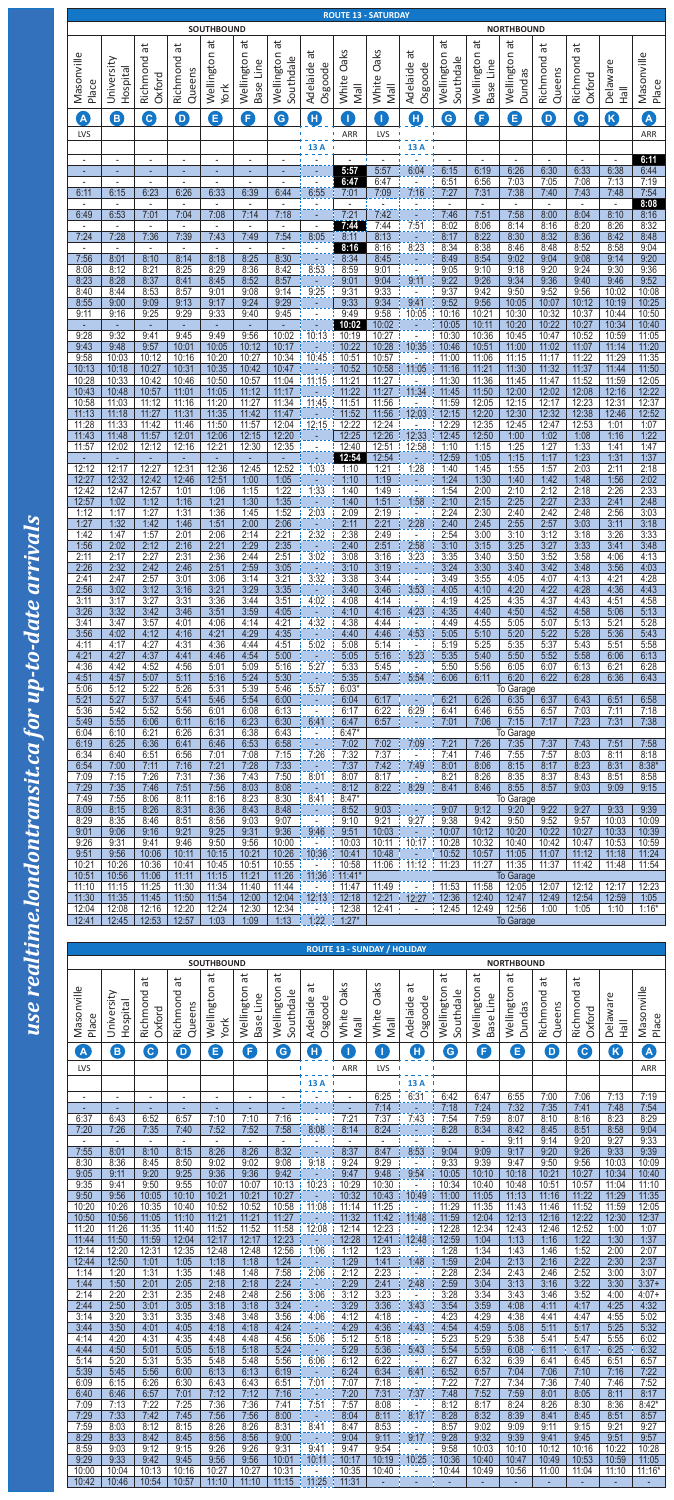|                                  |                                                                              |                                  |                                  | <b>SOUTHBOUND</b>                |                                  |                                  |                                                    |                                      | <b>ROUTE 13 - SATURDAY</b>                 |                                                              |                                          |                                          | <b>NORTHBOUND</b>                                 |                                          |                          |                                            |                            |
|----------------------------------|------------------------------------------------------------------------------|----------------------------------|----------------------------------|----------------------------------|----------------------------------|----------------------------------|----------------------------------------------------|--------------------------------------|--------------------------------------------|--------------------------------------------------------------|------------------------------------------|------------------------------------------|---------------------------------------------------|------------------------------------------|--------------------------|--------------------------------------------|----------------------------|
| Masonville<br>Place              | University<br>Hospital                                                       | đ<br>Richmond<br>Oxford          | đ<br>Richmond<br>Queens          | đ<br>Wellington<br>York          | άt<br>Wellington<br>Base Line    | đ<br>Wellington<br>Southdale     | ät<br>Osgoode<br>Adelaide                          | syle<br>O<br>White<br><b>IleM</b>    | syle<br>$\bigcirc$<br>White<br><b>Mall</b> | $\vec{a}$<br>Adelaide<br>Osgoode                             | đ<br>Wellington<br>Southdale             | đ<br>Wellington<br>Base Line             | $\overline{\mathfrak{a}}$<br>Wellington<br>Dundas | ъÉ<br>Richmond<br>Queens                 | tā<br>Richmond<br>Oxford | Delaware<br><b>H</b> all                   | Masonville<br>Place        |
| A<br>LVS                         | $\bigcirc$                                                                   | C                                | $\boldsymbol{\mathsf{D}}$        | 8                                | 0                                | G                                | $\bigoplus$                                        | T<br>ARR                             | T<br>LVS                                   | $\boldsymbol{\Phi}$<br>J.                                    | $\mathbf{G}$                             | G                                        | Θ                                                 | $\bullet$                                | G                        | K                                          | A<br>ARR                   |
| $\blacksquare$<br>٠              | $\overline{a}$<br>٠                                                          |                                  | $\blacksquare$<br>٠              | $\blacksquare$<br>÷              | $\blacksquare$<br>٠              | $\overline{a}$<br>٠              | 13A                                                | 5:57                                 | 5:57                                       | 13 A<br>6:04                                                 | 6:15                                     | $\overline{\phantom{a}}$<br>6:19         | $\blacksquare$<br>6:26                            | $\blacksquare$<br>6:30                   | $\blacksquare$<br>6:33   | $\overline{a}$<br>6:38                     | 6:11<br>6:44               |
| $\blacksquare$<br>6:11<br>$\sim$ | $\overline{a}$<br>6:15                                                       | $\overline{\phantom{a}}$<br>6:23 | $\overline{\phantom{a}}$<br>6:26 | $\overline{\phantom{a}}$<br>6:33 | $\overline{\phantom{a}}$<br>6:39 | $\overline{\phantom{a}}$<br>6:44 | 6:55                                               | 6:47<br>7:01<br>$\overline{a}$       | 6:47<br>7:09                               | ÷,<br>7:16                                                   | 6:51<br>7:27<br>$\overline{\phantom{a}}$ | 6:56<br>7:31<br>$\blacksquare$           | 7:03<br>7:38<br>$\overline{\phantom{a}}$          | 7:05<br>7:40<br>$\overline{\phantom{a}}$ | 7:08<br>7:43             | 7:13<br>7:48<br>$\blacksquare$             | 7:19<br>7:54<br>8:08       |
| 6:49<br>$\sim$                   | 6:53<br>$\sim$                                                               | 7:01<br>$\overline{\phantom{a}}$ | 7:04<br>$\blacksquare$           | 7:08<br>$\overline{\phantom{a}}$ | 7:14<br>$\sim$                   | 7:18<br>$\overline{\phantom{a}}$ | $\overline{\phantom{a}}$<br>÷,                     | 7:21<br>7:44                         | 7:42<br>7:44                               | 7:51                                                         | 7:46<br>8:02                             | 7:51<br>8:06                             | 7:58<br>8:14                                      | 8:00<br>8:16                             | 8:04<br>8:20             | 8:10<br>8:26                               | 8:16<br>8:32               |
| 7:24<br>$\sim$<br>7:56           | 7:28<br>$\blacksquare$<br>8:01                                               | 7:36<br>$\sim$<br>8:10           | 7:39<br>$\blacksquare$<br>8:14   | 7:43<br>$\blacksquare$<br>8:18   | 7:49<br>$\blacksquare$<br>8:25   | 7:54<br>$\blacksquare$<br>8:30   | 8:05<br>$\overline{a}$<br>$\blacksquare$           | 8:11<br>8:16<br>8:34                 | 8:13<br>8:16<br>8:45                       | 8:23                                                         | 8:17<br>8:34<br>8:49                     | 8:22<br>8:38<br>8:54                     | 8:30<br>8:46<br>9:02                              | 8:32<br>8:48<br>9:04                     | 8:36<br>8:52<br>9:08     | 8:42<br>8:58<br>9:14                       | 8:48<br>9:04<br>9:20       |
| 8:08<br>8:23                     | 8:12<br>8:28                                                                 | 8:21<br>8:37                     | 8:25<br>8:41                     | 8:29<br>8:45                     | 8:36<br>8:52                     | 8:42<br>8:57                     | 8:53<br>$\omega$                                   | 8:59<br>9:01                         | 9:01<br>9:04                               | $\overline{\phantom{a}}$<br>$\overline{\phantom{a}}$<br>9:11 | 9:05<br>9:22                             | 9:10<br>9:26                             | 9:18<br>9:34                                      | 9:20<br>9:36                             | 9:24<br>9:40             | 9:30<br>9:46                               | 9:36<br>9:52               |
| 8:40<br>8:55<br>9:11             | 8:44<br>9:00<br>9:16                                                         | 8:53<br>9:09<br>9:25             | 8:57<br>9:13<br>9:29             | 9:01<br>9:17<br>9:33             | 9:08<br>9:24<br>9:40             | 9:14<br>9:29<br>9:45             | 9:25                                               | 9:31<br>9:33<br>9:49                 | 9:33<br>9:34<br>9:58                       | $\bar{\phantom{a}}$<br>9:41<br>10:05                         | 9:37<br>9:52<br>10:16                    | 9:42<br>9:56<br>10:21                    | 9:50<br>10:05<br>10:30                            | 9:52<br>10:07<br>10:32                   | 9:56<br>10:12<br>10:37   | 10:02<br>10:19<br>10:44                    | 10:08<br>10:25<br>10:50    |
| $\sim$<br>9:28                   | $\sim$<br>9:32                                                               | $\sim$<br>9:41                   | $\sim$<br>9:45                   | ÷<br>9:49                        | ÷<br>9:56                        | ٠<br>10:02                       | 10:13                                              | 10:02<br>10:19                       | 10:02<br>10:27                             | $\pm$<br>$\overline{a}$                                      | 10:05<br>10:30                           | 10:11<br>10:36                           | 10:20<br>10:45                                    | 10:22<br>10:47                           | 10:27<br>10:52           | 10:34<br>10:59                             | 10:40<br>11:05             |
| 9:43<br>9:58<br>10:13            | 9:48<br>10:03<br>10:18                                                       | 9:57<br>10:12<br>10:27           | 10:01<br>10:16<br>10:31          | 10:05<br>10:20<br>10:35          | 10:12<br>10:27<br>10:42          | 10:17<br>10:34<br>10:47          | 10:45                                              | 10:22<br>10:51<br>10:52              | 10:28<br>10:57<br>10:58                    | 10:35<br>$\overline{\phantom{a}}$<br>11:05                   | 10:46<br>11:00<br>11:16                  | 10:51<br>11:06<br>11:21                  | 11:00<br>11:15<br>11:30                           | 11:02<br>11:17<br>11:32                  | 11:07<br>11:22<br>11:37  | 11:14<br>11:29<br>11:44                    | 11:20<br>11:35<br>11:50    |
| 10:28<br>10:43<br>10:58          | 10:33<br>10:48<br>11:03                                                      | 10:42<br>10:57<br>11:12          | 10:46<br>11:01<br>11:16          | 10:50<br>11:05<br>11:20          | 10:57<br>11:12<br>11:27          | 11:04<br>11:17<br>11:34          | 11:15<br>11:45                                     | 11:21<br>11:22<br>11:51              | 11:27<br>11:27<br>11:56                    | 11:34                                                        | 11:30<br>11:45<br>11:59                  | 11:36<br>11:50<br>12:05                  | 11:45<br>12:00<br>12:15                           | 11:47<br>12:02<br>12:17                  | 11:52<br>12:08<br>12:23  | 11:59<br>12:16<br>12:31                    | 12:05<br>12:22<br>12:37    |
| 11:13<br>11:28                   | 11:18<br>11:33                                                               | 11:27<br>11:42                   | 11:31<br>11:46                   | 11:35<br>11:50                   | 11:42<br>11:57                   | 11:47<br>12:04                   | 12:15                                              | 11:52<br>12:22                       | 11:56<br>12:24                             | 12:03                                                        | 12:15<br>12:29                           | 12:20<br>12:35                           | 12:30<br>12:45                                    | 12:32<br>12:47                           | 12:38<br>12:53           | 12:46<br>1:01                              | 12:52<br>1:07              |
| 11:43<br>11:57<br>٠              | 11:48<br>12:02<br>÷                                                          | 11:57<br>12:12                   | 12:01<br>12:16<br>٠              | 12:06<br>12:21<br>٠              | 12:15<br>12:30<br>٠              | 12:20<br>12:35<br>٠              |                                                    | 12:25<br>12:40<br>12:54              | 12:26<br>12:51<br>12:54                    | 12:33<br>12:58                                               | 12:45<br>1:10<br>12:59                   | 12:50<br>1:15<br>1:05                    | 1:00<br>1:25<br>1:15                              | 1:02<br>1:27<br>1:17                     | 1:08<br>1:33<br>1:23     | 1:16<br>1:41<br>1:31                       | 1:22<br>1:47<br>1:37       |
| 12:12<br>12:27                   | 12:17<br>12:32                                                               | 12:27<br>12:42                   | 12:31<br>12:46                   | 12:36<br>12:51                   | 12:45<br>1:00                    | 12:52<br>1:05                    | 1:03<br>$\sim$                                     | 1:10<br>1:10                         | 1:21<br>1:19                               | 1:28                                                         | 1:40<br>1:24                             | 1:45<br>1:30                             | 1:55<br>1:40                                      | 1:57<br>1:42                             | 2:03<br>1:48             | 2:11<br>1:56                               | 2:18<br>2:02               |
| 12:42<br>12:57<br>1:12           | 12:47<br>1:02<br>1:17                                                        | 12:57<br>1:12<br>1:27            | 1:01<br>1:16<br>1:31             | 1:06<br>1:21<br>1:36             | 1:15<br>1:30<br>1:45             | 1:22<br>1:35<br>1:52             | 1:33<br>2:03                                       | 1:40<br>1:40<br>2:09                 | 1:49<br>1:51<br>2:19                       | $\overline{a}$<br>1:58                                       | 1:54<br>2:10<br>2:24                     | 2:00<br>2:15<br>2:30                     | 2:10<br>2:25<br>2:40                              | 2:12<br>2:27<br>2:42                     | 2:18<br>2:33<br>2:48     | 2:26<br>2:41<br>2:56                       | 2:33<br>2:48<br>3:03       |
| 1:27<br>1:42                     | 1:32<br>1:47                                                                 | 1:42<br>1:57                     | 1:46<br>2:01                     | 1:51<br>2:06                     | 2:00<br>2:14                     | 2:06<br>2:21                     | 2:32                                               | 2:11<br>2:38                         | 2:21<br>2:49                               | 2:28                                                         | 2:40<br>2:54                             | 2:45<br>3:00                             | 2:55<br>3:10                                      | 2:57<br>3:12                             | 3:03<br>3:18             | 3:11<br>3:26                               | 3:18<br>3:33               |
| 1:56<br>2:11<br>2:26             | 2:02<br>2:17<br>2:32                                                         | 2:12<br>2:27<br>2:42             | 2:16<br>2:31<br>2:46             | 2:21<br>2:36<br>2:51             | 2:29<br>2:44<br>2:59             | 2:35<br>2:51<br>3:05             | 3:02<br>÷.                                         | 2:40<br>3:08<br>3:10                 | 2:51<br>3:16<br>3:19                       | 2:58<br>3:23                                                 | 3:10<br>3:35<br>3:24                     | 3:15<br>3:40<br>3:30                     | 3:25<br>3:50<br>3:40                              | 3:27<br>3:52<br>3:42                     | 3:33<br>3:58<br>3:48     | 3:41<br>4:06<br>3:56                       | 3:48<br>4:13<br>4:03       |
| 2:41<br>2:56                     | 2:47<br>3:02                                                                 | 2:57<br>3:12                     | 3:01<br>3:16                     | 3:06<br>3:21                     | 3:14<br>3:29                     | 3:21<br>3:35                     | 3:32                                               | 3:38<br>3:40                         | 3:44<br>3:46                               | 3:53                                                         | 3:49<br>4:05                             | 3:55<br>4:10                             | 4:05<br>4:20                                      | 4:07<br>4:22                             | 4:13<br>4:28             | 4:21<br>4:36                               | 4:28<br>4:43               |
| 3:11<br>3:26<br>3:41             | 3:17<br>3:32<br>3:47                                                         | 3:27<br>3:42<br>3:57             | 3:31<br>3:46<br>4:01             | 3:36<br>3:51<br>4:06             | 3:44<br>3:59<br>4:14             | 3:51<br>4:05<br>4:21             | 4:02<br>$\omega$<br>4:32                           | 4:08<br>4:10<br>4:38                 | 4:14<br>4:16<br>4:44                       | $\overline{\phantom{a}}$<br>4:23                             | 4:19<br>4:35<br>4:49                     | 4:25<br>4:40<br>4:55                     | 4:35<br>4:50<br>5:05                              | 4:37<br>4:52<br>5:07                     | 4:43<br>4:58<br>5:13     | 4:51<br>5:06<br>5:21                       | 4:58<br>5:13<br>5:28       |
| 3:56<br>4:11                     | 4:02<br>4:17                                                                 | 4:12<br>4:27                     | 4:16<br>4:31                     | 4:21<br>4:36                     | 4:29<br>4:44                     | 4:35<br>4:51                     | ÷.<br>5:02                                         | 4:40<br>5:08                         | 4:46<br>5:14                               | 4:53                                                         | 5:05<br>5:19                             | 5:10<br>5:25                             | 5:20<br>5:35                                      | 5:22<br>5:37                             | 5:28<br>5:43             | 5:36<br>5:51                               | 5:43<br>5:58               |
| 4:21<br>4:36<br>4:51             | 4:27<br>4:42<br>4:57                                                         | 4:37<br>4:52<br>5:07             | 4:41<br>4:56<br>5:11             | 4:46<br>5:01<br>5:16             | 4:54<br>5:09<br>5:24             | 5:00<br>5:16<br>5:30             | 5:27                                               | 5:05<br>5:33<br>5:35                 | 5:16<br>5:45<br>5:47                       | 5:23<br>5:54                                                 | 5:35<br>5:50<br>6:06                     | 5:40<br>5:56<br>6:11                     | 5:50<br>6:05<br>6:20                              | 5:52<br>6:07<br>6:22                     | 5:58<br>6:13<br>6:28     | 6:06<br>6:21<br>6:36                       | 6:13<br>6:28<br>6:43       |
| 5:06<br>5:21<br>5:36             | 5:12<br>5:27<br>5:42                                                         | 5:22<br>5:37<br>5:52             | 5:26<br>5:41<br>5:56             | 5:31<br>5:46<br>6:01             | 5:39<br>5:54<br>6:08             | 5:46<br>6:00<br>6:13             | 5:57<br>÷.                                         | $6:03*$<br>6:04<br>6:17              | 6:17<br>6:22                               | 6:29                                                         | 6:21<br>6:41                             | 6:26<br>6:46                             | To Garage<br>6:35<br>6:55                         | 6:37<br>6:57                             | 6:43<br>7:03             | 6:51<br>7:11                               | 6:58<br>7:18               |
| 5:49<br>6:04                     | 5:55<br>6:10                                                                 | 6:06<br>6:21                     | 6:11<br>6:26                     | 6:16<br>6:31                     | 6:23<br>6:38                     | 6:30<br>6:43                     | 6:41                                               | 6:47<br>$6:47*$                      | 6:57                                       |                                                              | 7:01                                     | 7:06                                     | 7:15<br>To Garage                                 | 7:17                                     | 7:23                     | 7:31                                       | 7:38                       |
| 6:19<br>6:34<br>6:54             | 6:25<br>6:40<br>7:00                                                         | 6:36<br>6:51<br>7:11             | 6:41<br>6:56<br>7:16             | 6:46<br>7:01<br>7:21             | 6:53<br>7:08<br>7:28             | 6:58<br>7:15<br>7:33             | 7:26                                               | 7:02<br>7:32<br>7:37                 | 7:02<br>7:37<br>7:42                       | 7:09<br>7:49                                                 | 7:21<br>7:41<br>8:01                     | 7:26<br>7:46<br>8:06                     | 7:35<br>7:55<br>8:15                              | 7:37<br>7:57<br>8:17                     | 7:43<br>8:03<br>8:23     | 7:51<br>8:11<br>8:31                       | 7:58<br>8:18<br>$8:38*$    |
| 7:09<br>7:29                     | 7:15<br>7:35                                                                 | 7:26<br>7:46                     | 7:31<br>7:51                     | 7:36<br>7:56                     | 7:43<br>8:03                     | 7:50<br>8:08                     | $\frac{1}{2}$ 8:01                                 | 8:07<br>8:12                         | 8:17<br>8:22                               | 8:29                                                         | 8:21<br>8:41                             | 8:26<br>8:46                             | 8:35<br>8:55                                      | 8:37<br>8:57                             | 8:43<br>9:03             | 8:51<br>9:09                               | 8:58<br>9:15               |
| 7:49<br>8:09<br>8:29             | 7:55<br>8:15<br>8:35                                                         | 8:06<br>8:26<br>8:46             | 8:11<br>8:31<br>8:51             | 8:16<br>8:36<br>8:56             | 8:23<br>8:43<br>9:03             | 8:30<br>8:48<br>9:07             | 8:41<br>$\blacksquare$<br>$\overline{\phantom{a}}$ | $8:47*$<br>8:52<br>9:10              | 9:03<br>9:21                               | 9:27                                                         | 9:07<br>9:38                             | 9:12<br>9:42                             | To Garage<br>9:20<br>9:50                         | 9:22<br>9:52                             | 9:27<br>9:57             | 9:33<br>10:03                              | 9:39<br>10:09              |
| 9:01<br>9:26                     | 9:06<br>9:31                                                                 | 9:16<br>9:41                     | 9:21<br>9:46                     | 9:25<br>9:50                     | 9:31<br>9:56                     | 9:36<br>10:00                    | 9:46                                               | 9:51<br>10:03                        | 10:03<br>10:11                             | 10:17                                                        | 10:07<br>10:28                           | 10:12<br>10:32                           | 10:20<br>10:40                                    | 10:22<br>10:42                           | 10:27<br>10:47           | 10:33<br>10:53                             | 10:39<br>10:59             |
| 9:51<br>10:21<br>10:51           | 9:56<br>10:26<br>10:56                                                       | 10:06<br>10:36<br>11:06          | 10:11<br>10:41<br>11:11          | 10:15<br>10:45<br>11:15          | 10:21<br>10:51<br>11:21          | 10:26<br>10:55<br>11:26          | 10:36<br>11:36                                     | 10:41<br>10:58<br>$11:41*$           | 10:48<br>11:06                             | 11:12                                                        | 10:52<br>11:23                           | 10:57<br>11:27                           | 11:05<br>11:35<br><b>To Garage</b>                | 11:07<br>11:37                           | 11:12<br>11:42           | 11:18<br>11:48                             | 11:24<br>11:54             |
| 11:10<br>11:30                   | 11:15<br>11:35                                                               | 11:25<br>11:45                   | 11:30<br>11:50                   | 11:34<br>11:54                   | 11:40<br>12:00                   | 11:44<br>12:04                   | 12:13                                              | 11:47<br>12:18                       | 11:49<br>12:21                             | 12:27                                                        | 11:53<br>12:36                           | 11:58<br>12:40                           | 12:05<br>12:47                                    | 12:07<br>12:49                           | 12:12<br>12:54           | 12:17<br>12:59                             | 12:23<br>1:05              |
| 12:04<br>12:41                   | 12:08<br>12:45                                                               | 12:16<br>12:53                   | 12:20<br>12:57                   | 12:24<br>1:03                    | 12:30<br>1:09                    | 12:34<br>1:13                    | 1:22                                               | 12:38<br>$1:27*$                     | 12:41                                      | $\blacksquare$                                               | 12:45                                    | 12:49                                    | 12:56<br><b>To Garage</b>                         | 1:00                                     | 1:05                     | 1:10                                       | $1:16*$                    |
|                                  | <b>ROUTE 13 - SUNDAY / HOLIDAY</b><br><b>SOUTHBOUND</b><br><b>NORTHBOUND</b> |                                  |                                  |                                  |                                  |                                  |                                                    |                                      |                                            |                                                              |                                          |                                          |                                                   |                                          |                          |                                            |                            |
|                                  |                                                                              | đ                                | đ                                | đ                                | ъ                                | đ                                | ã                                                  | <b>syle</b>                          | Oaks                                       | $\vec{a}$                                                    | đ                                        | $\overline{\mathfrak{b}}$                | đ                                                 | đ                                        | đ                        |                                            |                            |
| Masonville                       | University<br>Hospital                                                       | Richmond<br>Oxford               | Richmond<br>Queens               | Wellington                       | Wellington<br>Base Line          | Wellington<br>Southdale          | Osgoode<br>Adelaide                                | $\mathsf{\circ}$                     |                                            | Osgoode<br>Adelaide                                          | Wellington<br>Southdale                  | Wellington<br>Base Line                  | Wellington<br>Dundas                              | Richmond<br>Queens                       | Richmond<br>Oxford       | Delaware                                   | Masonville                 |
| Place<br>A                       | B)                                                                           | $\mathbf{G}$                     | $\mathbf 0$                      | York<br>0                        | G                                | G                                | $\mathbf 0$                                        | White<br><b>IleM</b><br>$\mathbf{I}$ | White<br><b>Mall</b><br>O                  | $\mathbf 0$                                                  | $\bigodot$                               | G                                        | 8                                                 | $\boldsymbol{\mathsf{D}}$                | $\boldsymbol{\Theta}$    | <b>H</b> all<br>$\boldsymbol{\mathcal{B}}$ | Place<br>A                 |
| LVS                              |                                                                              |                                  |                                  |                                  |                                  |                                  |                                                    | ARR                                  | LVS                                        |                                                              |                                          |                                          |                                                   |                                          |                          |                                            | ARR                        |
| $\blacksquare$                   | L,                                                                           | $\overline{\phantom{a}}$         | $\overline{\phantom{a}}$         | $\overline{\phantom{a}}$<br>٠    | $\overline{\phantom{a}}$<br>٠    | $\overline{\phantom{a}}$         | 13 A                                               | $\blacksquare$<br>٠                  | 6:25<br>7:14                               | 13 A<br>6:31                                                 | 6:42<br>7:18                             | 6:47<br>7:24                             | 6:55<br>7:32                                      | 7:00<br>7:35                             | 7:06<br>7:41             | 7:13<br>7:48                               | 7:19<br>7:54               |
| 6:37<br>7:20                     | 6:43<br>7:26                                                                 | 6:52<br>7:35                     | 6:57<br>7:40                     | 7:10<br>7:52                     | 7:10<br>7:52                     | 7:16<br>7:58                     | 8:08                                               | 7:21<br>8:14                         | 7:37<br>8:24                               | 7:43                                                         | 7:54<br>8:28                             | 7:59<br>8:34                             | 8:07<br>8:42                                      | 8:10<br>8:45                             | 8:16<br>8:51             | 8:23<br>8:58                               | 8:29<br>9:04               |
| 7:55<br>8:30                     | 8:01<br>8:36                                                                 | 8:10<br>8:45                     | 8:15<br>8:50                     | 8:26<br>9:02                     | 8:26<br>9:02                     | 8:32<br>9:08                     | 9:18                                               | 8:37<br>9:24                         | 8:47<br>9:29                               | 8:53<br>$\omega$                                             | 9:04<br>9:33                             | $\overline{\phantom{m}}$<br>9:09<br>9:39 | 9:11<br>9:17<br>9:47                              | 9:14<br>9:20<br>9:50                     | 9:20<br>9:26<br>9:56     | 9:27<br>9:33<br>10:03                      | 9:33<br>9:39<br>10:09      |
| 9:05<br>9:35                     | 9:11<br>9:41                                                                 | 9:20<br>9:50                     | 9:25<br>9:55                     | 9:36<br>10:07                    | 9:36<br>10:07                    | 9:42<br>10:13                    | $\omega$<br>10:23                                  | 9:47<br>10:29                        | 9:48<br>10:30                              | 9:54<br>$\mathbb{L}^{\mathbb{N}}$                            | 10:05<br>10:34                           | 10:10<br>10:40                           | 10:18<br>10:48                                    | 10:21<br>10:51                           | 10:27<br>10:57           | 10:34<br>11:04                             | 10:40<br>11:10             |
| 9:50<br>10:20<br>10:50           | 9:56<br>10:26<br>10:56                                                       | 10:05<br>10:35<br>11:05          | 10:10<br>10:40<br>11:10          | 10:21<br>10:52<br>11:21          | 10:21<br>10:52<br>11:21          | 10:27<br>10:58<br>11:27          | 11:08                                              | 10:32<br>11:14<br>11:32              | 10:43<br>11:25<br>11:42                    | 10:49<br>11:48                                               | 11:00<br>11:29<br>11:59                  | 11:05<br>11:35<br>12:04                  | 11:13<br>11:43<br>12:13                           | 11:16<br>11:46<br>12:16                  | 11:22<br>11:52<br>12:22  | 11:29<br>11:59<br>12:30                    | 11:35<br>12:05<br>12:37    |
| 11:20<br>11:44                   | 11:26<br>11:50                                                               | 11:35<br>11:59                   | 11:40<br>12:04                   | 11:52<br>12:17                   | 11:52<br>12:17                   | 11:58<br>12:23                   | 12:08<br>÷                                         | 12:14<br>12:28                       | 12:23<br>12:41                             | $\sim$<br>12:48                                              | 12:28<br>12:59                           | 12:34<br>1:04                            | 12:43<br>1:13                                     | 12:46<br>1:16                            | 12:52<br>1:22            | 1:00<br>1:30                               | 1:07<br>1:37               |
| 12:14<br>12:44<br>1:14           | 12:20<br>12:50<br>1:20                                                       | 12:31<br>1:01<br>1:31            | 12:35<br>1:05<br>1:35            | 12:48<br>1:18<br>1:48            | 12:48<br>1:18<br>1:48            | 12:56<br>1:24<br>7:58            | 1:06<br>T<br>2:06                                  | 1:12<br>1:29<br>2:12                 | 1:23<br>1:41<br>2:23                       | $\blacksquare$<br>1:48                                       | 1:28<br>1:59<br>2:28                     | 1:34<br>2:04<br>2:34                     | 1:43<br>2:13<br>2:43                              | 1:46<br>2:16<br>2:46                     | 1:52<br>2:22<br>2:52     | 2:00<br>2:30<br>3:00                       | 2:07<br>2:37<br>3:07       |
| 1:44<br>2:14                     | 1:50<br>2:20<br>2:50                                                         | 2:01<br>2:31<br>3:01             | 2:05<br>2:35<br>3:05             | 2:18<br>2:48                     | 2:18<br>2:48                     | 2:24<br>2:56<br>3:24             | ÷<br>3:06                                          | 2:29<br>3:12                         | 2:41<br>3:23                               | 2:48<br>$\sim$                                               | 2:59<br>3:28                             | 3:04<br>3:34<br>3:59                     | 3:13<br>3:43<br>4:08                              | 3:16<br>3:46<br>4:11                     | 3:22<br>3:52<br>4:17     | 3:30<br>4:00<br>4:25                       | $3:37+$<br>$4:07+$         |
| 2:44<br>3:14<br>3:44             | 3:20<br>3:50                                                                 | 3:31<br>4:01                     | 3:35<br>4:05                     | 3:18<br>3:48<br>4:18             | 3:18<br>3:48<br>4:18             | 3:56<br>4:24                     | $\sim$<br>4:06<br>T                                | 3:29<br>4:12<br>4:29                 | 3:36<br>4:18<br>4:36                       | 3:43<br>$\sim$<br>4:43                                       | 3:54<br>4:23<br>4:54                     | 4:29<br>4:59                             | 4:38<br>5:08                                      | 4:41<br>5:11                             | 4:47<br>5:17             | 4:55<br>5:25                               | 4:32<br>5:02<br>5:32       |
| 4:14<br>4:44<br>5:14             | 4:20<br>4:50<br>5:20                                                         | 4:31<br>5:01<br>5:31             | 4:35<br>5:05<br>5:35             | 4:48<br>5:18<br>5:48             | 4:48<br>5:18<br>5:48             | 4:56<br>5:24<br>5:56             | 5:06<br>6:06                                       | 5:12<br>5:29<br>6:12                 | 5:18<br>5:36<br>6:22                       | $\sim$<br>5:43<br>$\sim$                                     | 5:23<br>5:54<br>6:27                     | 5:29<br>5:59<br>6:32                     | 5:38<br>6:08<br>6:39                              | 5:41<br>6:11<br>6:41                     | 5:47<br>6:17<br>6:45     | 5:55<br>6:25<br>6:51                       | 6:02<br>6:32<br>6:57       |
| 5:39<br>6:09                     | 5:45<br>6:15                                                                 | 5:56<br>6:26                     | 6:00<br>6:30                     | 6:13<br>6:43                     | 6:13<br>6:43                     | 6:19<br>6:51                     | $\sim$<br>7:01                                     | 6:24<br>7:07                         | 6:34<br>7:18                               | 6:41<br>$\blacksquare$                                       | 6:52<br>7:22                             | 6:57<br>7:27                             | 7:04<br>7:34                                      | 7:06<br>7:36                             | 7:10<br>7:40             | 7:16<br>7:46                               | 7:22<br>7:52               |
| 6:40<br>7:09<br>7:29             | 6:46<br>7:13<br>7:33                                                         | 6:57<br>7:22<br>7:42             | 7:01<br>7:25<br>7:45             | 7:12<br>7:36<br>7:56             | 7:12<br>7:36<br>7:56             | 7:16<br>7:41<br>8:00             | <b>A</b><br>7:51<br>÷                              | 7:20<br>7:57<br>8:04                 | 7:31<br>8:08<br>8:11                       | 7:37<br>$\blacksquare$<br>8:17                               | 7:48<br>8:12<br>8:28                     | 7:52<br>8:17<br>8:32                     | 7:59<br>8:24<br>8:39                              | 8:01<br>8:26<br>8:41                     | 8:05<br>8:30<br>8:45     | 8:11<br>8:36<br>8:51                       | 8:17<br>$8:42*$<br>8:57    |
| 7:59<br>8:29                     | 8:03<br>8:33                                                                 | 8:12<br>8:42                     | 8:15<br>8:45                     | 8:26<br>8:56                     | 8:26<br>8:56                     | 8:31<br>9:00                     | 8:41<br>$\sim$                                     | 8:47<br>9:04                         | 8:53<br>9:11                               | $\blacksquare$<br>9:17                                       | 8:57<br>9:28                             | 9:02<br>9:32                             | 9:09<br>9:39                                      | 9:11<br>9:41                             | 9:15<br>9:45             | 9:21<br>9:51                               | 9:27<br>9:57               |
| 8:59<br>9:29<br>10:00            | 9:03<br>9:33<br>10:04                                                        | 9:12<br>9:42<br>10:13            | 9:15<br>9:45<br>10:16            | 9:26<br>9:56<br>10:27            | 9:26<br>9:56<br>10:27            | 9:31<br>10:01<br>10:31           | 9:41<br>10:11<br>$\mathbf{r}$                      | 9:47<br>10:17<br>10:35               | 9:54<br>10:19<br>10:40                     | T.<br>10:25                                                  | 9:58<br>10:36<br>10:44                   | 10:03<br>10:40<br>10:49                  | 10:10<br>10:47<br>10:56                           | 10:12<br>10:49<br>11:00                  | 10:16<br>10:53<br>11:04  | 10:22<br>10:59<br>11:10                    | 10:28<br>11:05<br>$11:16*$ |
| 10:42                            | 10:46                                                                        | 10:54                            | 10:57                            | 11:10                            | 11:10                            | 11:15                            | 11:25                                              | 11:31                                |                                            |                                                              | ÷                                        | ÷                                        | ٠                                                 | ٠                                        |                          | ÷                                          | $\blacksquare$             |